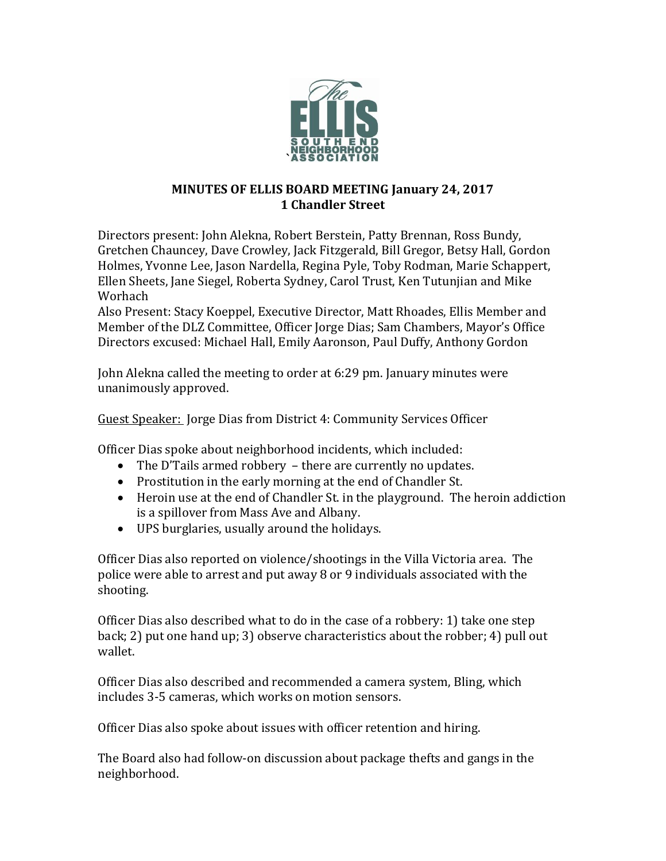

## **MINUTES OF ELLIS BOARD MEETING January 24, 2017 1 Chandler Street**

Directors present: John Alekna, Robert Berstein, Patty Brennan, Ross Bundy, Gretchen Chauncey, Dave Crowley, Jack Fitzgerald, Bill Gregor, Betsy Hall, Gordon Holmes, Yvonne Lee, Jason Nardella, Regina Pyle, Toby Rodman, Marie Schappert, Ellen Sheets, Jane Siegel, Roberta Sydney, Carol Trust, Ken Tutunjian and Mike Worhach

Also Present: Stacy Koeppel, Executive Director, Matt Rhoades, Ellis Member and Member of the DLZ Committee, Officer Jorge Dias; Sam Chambers, Mayor's Office Directors excused: Michael Hall, Emily Aaronson, Paul Duffy, Anthony Gordon

John Alekna called the meeting to order at 6:29 pm. January minutes were unanimously approved.

Guest Speaker: Jorge Dias from District 4: Community Services Officer

Officer Dias spoke about neighborhood incidents, which included:

- The D'Tails armed robbery there are currently no updates.
- Prostitution in the early morning at the end of Chandler St.
- Heroin use at the end of Chandler St. in the playground. The heroin addiction is a spillover from Mass Ave and Albany.
- UPS burglaries, usually around the holidays.

Officer Dias also reported on violence/shootings in the Villa Victoria area. The police were able to arrest and put away 8 or 9 individuals associated with the shooting.

Officer Dias also described what to do in the case of a robbery: 1) take one step back; 2) put one hand up; 3) observe characteristics about the robber; 4) pull out wallet.

Officer Dias also described and recommended a camera system, Bling, which includes 3-5 cameras, which works on motion sensors.

Officer Dias also spoke about issues with officer retention and hiring.

The Board also had follow-on discussion about package thefts and gangs in the neighborhood.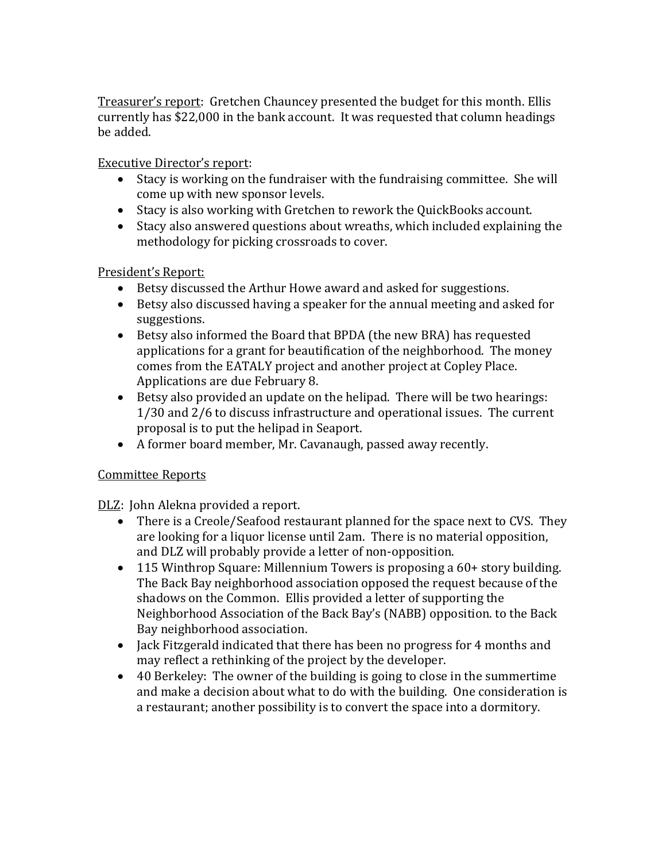Treasurer's report: Gretchen Chauncey presented the budget for this month. Ellis currently has \$22,000 in the bank account. It was requested that column headings be added.

Executive Director's report:

- Stacy is working on the fundraiser with the fundraising committee. She will come up with new sponsor levels.
- Stacy is also working with Gretchen to rework the QuickBooks account.
- Stacy also answered questions about wreaths, which included explaining the methodology for picking crossroads to cover.

# President's Report:

- Betsy discussed the Arthur Howe award and asked for suggestions.
- Betsy also discussed having a speaker for the annual meeting and asked for suggestions.
- Betsy also informed the Board that BPDA (the new BRA) has requested applications for a grant for beautification of the neighborhood. The money comes from the EATALY project and another project at Copley Place. Applications are due February 8.
- Betsy also provided an update on the helipad. There will be two hearings: 1/30 and 2/6 to discuss infrastructure and operational issues. The current proposal is to put the helipad in Seaport.
- A former board member, Mr. Cavanaugh, passed away recently.

## Committee Reports

DLZ: John Alekna provided a report.

- There is a Creole/Seafood restaurant planned for the space next to CVS. They are looking for a liquor license until 2am. There is no material opposition, and DLZ will probably provide a letter of non-opposition.
- 115 Winthrop Square: Millennium Towers is proposing a 60+ story building. The Back Bay neighborhood association opposed the request because of the shadows on the Common. Ellis provided a letter of supporting the Neighborhood Association of the Back Bay's (NABB) opposition. to the Back Bay neighborhood association.
- Jack Fitzgerald indicated that there has been no progress for 4 months and may reflect a rethinking of the project by the developer.
- 40 Berkeley: The owner of the building is going to close in the summertime and make a decision about what to do with the building. One consideration is a restaurant; another possibility is to convert the space into a dormitory.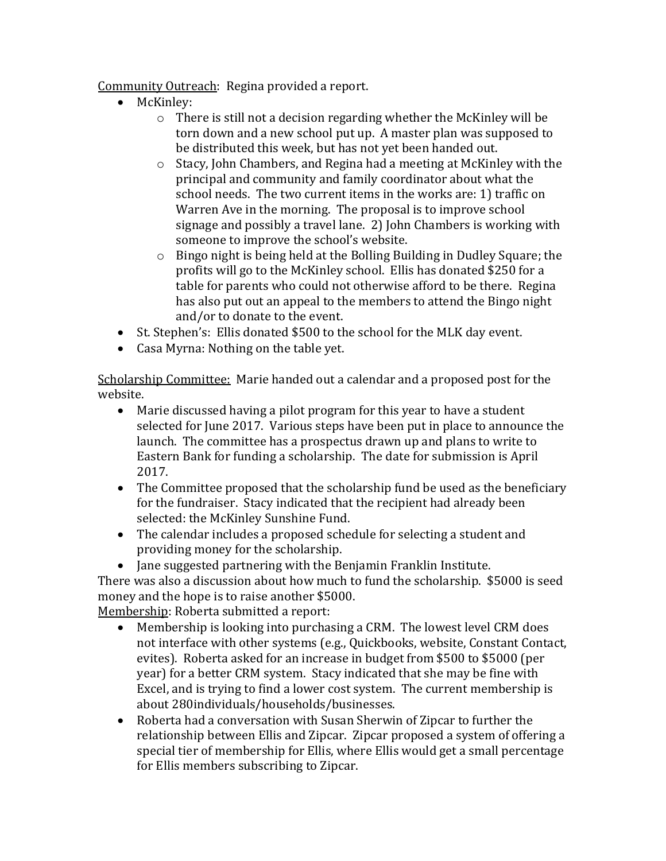Community Outreach: Regina provided a report.

- McKinley:
	- o There is still not a decision regarding whether the McKinley will be torn down and a new school put up. A master plan was supposed to be distributed this week, but has not yet been handed out.
	- o Stacy, John Chambers, and Regina had a meeting at McKinley with the principal and community and family coordinator about what the school needs. The two current items in the works are: 1) traffic on Warren Ave in the morning. The proposal is to improve school signage and possibly a travel lane. 2) John Chambers is working with someone to improve the school's website.
	- o Bingo night is being held at the Bolling Building in Dudley Square; the profits will go to the McKinley school. Ellis has donated \$250 for a table for parents who could not otherwise afford to be there. Regina has also put out an appeal to the members to attend the Bingo night and/or to donate to the event.
- St. Stephen's: Ellis donated \$500 to the school for the MLK day event.
- Casa Myrna: Nothing on the table yet.

Scholarship Committee: Marie handed out a calendar and a proposed post for the website.

- Marie discussed having a pilot program for this year to have a student selected for June 2017. Various steps have been put in place to announce the launch. The committee has a prospectus drawn up and plans to write to Eastern Bank for funding a scholarship. The date for submission is April 2017.
- The Committee proposed that the scholarship fund be used as the beneficiary for the fundraiser. Stacy indicated that the recipient had already been selected: the McKinley Sunshine Fund.
- The calendar includes a proposed schedule for selecting a student and providing money for the scholarship.
- Jane suggested partnering with the Benjamin Franklin Institute.

There was also a discussion about how much to fund the scholarship. \$5000 is seed money and the hope is to raise another \$5000.

Membership: Roberta submitted a report:

- Membership is looking into purchasing a CRM. The lowest level CRM does not interface with other systems (e.g., Quickbooks, website, Constant Contact, evites). Roberta asked for an increase in budget from \$500 to \$5000 (per year) for a better CRM system. Stacy indicated that she may be fine with Excel, and is trying to find a lower cost system. The current membership is about 280individuals/households/businesses.
- Roberta had a conversation with Susan Sherwin of Zipcar to further the relationship between Ellis and Zipcar. Zipcar proposed a system of offering a special tier of membership for Ellis, where Ellis would get a small percentage for Ellis members subscribing to Zipcar.